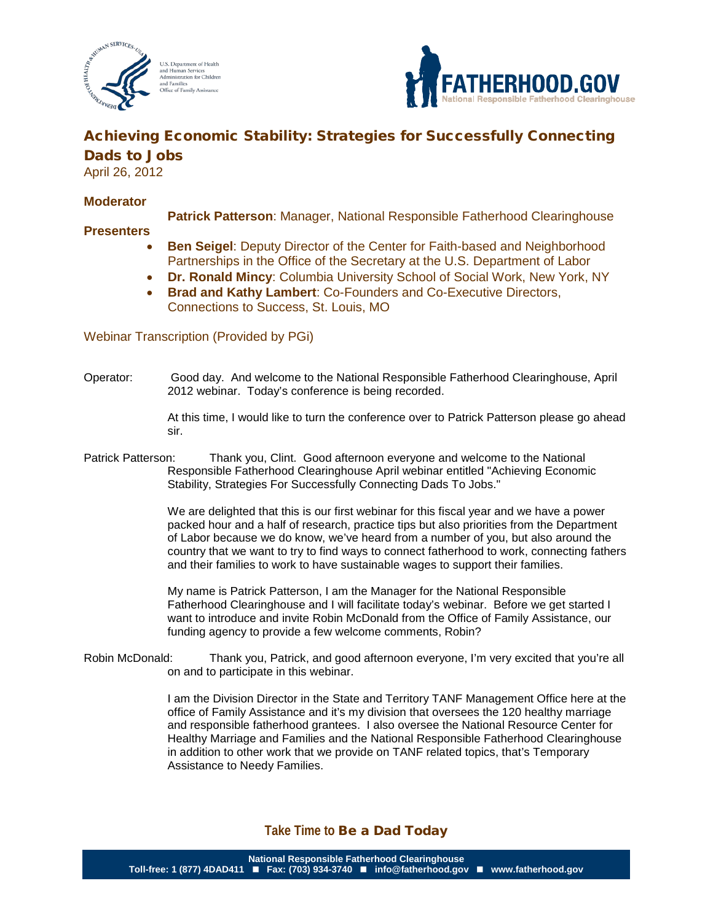



# Achieving Economic Stability: Strategies for Successfully Connecting Dads to Jobs

April 26, 2012

### **Moderator**

**Patrick Patterson**: Manager, National Responsible Fatherhood Clearinghouse

### **Presenters**

- **Ben Seigel**: Deputy Director of the Center for Faith-based and Neighborhood Partnerships in the Office of the Secretary at the U.S. Department of Labor
- **Dr. Ronald Mincy**: Columbia University School of Social Work, New York, NY
- **Brad and Kathy Lambert**: Co-Founders and Co-Executive Directors, Connections to Success, St. Louis, MO

## Webinar Transcription (Provided by PGi)

Operator: Good day. And welcome to the National Responsible Fatherhood Clearinghouse, April 2012 webinar. Today's conference is being recorded.

> At this time, I would like to turn the conference over to Patrick Patterson please go ahead sir.

Patrick Patterson: Thank you, Clint. Good afternoon everyone and welcome to the National Responsible Fatherhood Clearinghouse April webinar entitled "Achieving Economic Stability, Strategies For Successfully Connecting Dads To Jobs."

> We are delighted that this is our first webinar for this fiscal year and we have a power packed hour and a half of research, practice tips but also priorities from the Department of Labor because we do know, we've heard from a number of you, but also around the country that we want to try to find ways to connect fatherhood to work, connecting fathers and their families to work to have sustainable wages to support their families.

My name is Patrick Patterson, I am the Manager for the National Responsible Fatherhood Clearinghouse and I will facilitate today's webinar. Before we get started I want to introduce and invite Robin McDonald from the Office of Family Assistance, our funding agency to provide a few welcome comments, Robin?

Robin McDonald: Thank you, Patrick, and good afternoon everyone, I'm very excited that you're all on and to participate in this webinar.

> I am the Division Director in the State and Territory TANF Management Office here at the office of Family Assistance and it's my division that oversees the 120 healthy marriage and responsible fatherhood grantees. I also oversee the National Resource Center for Healthy Marriage and Families and the National Responsible Fatherhood Clearinghouse in addition to other work that we provide on TANF related topics, that's Temporary Assistance to Needy Families.

## **Take Time to** Be a Dad Today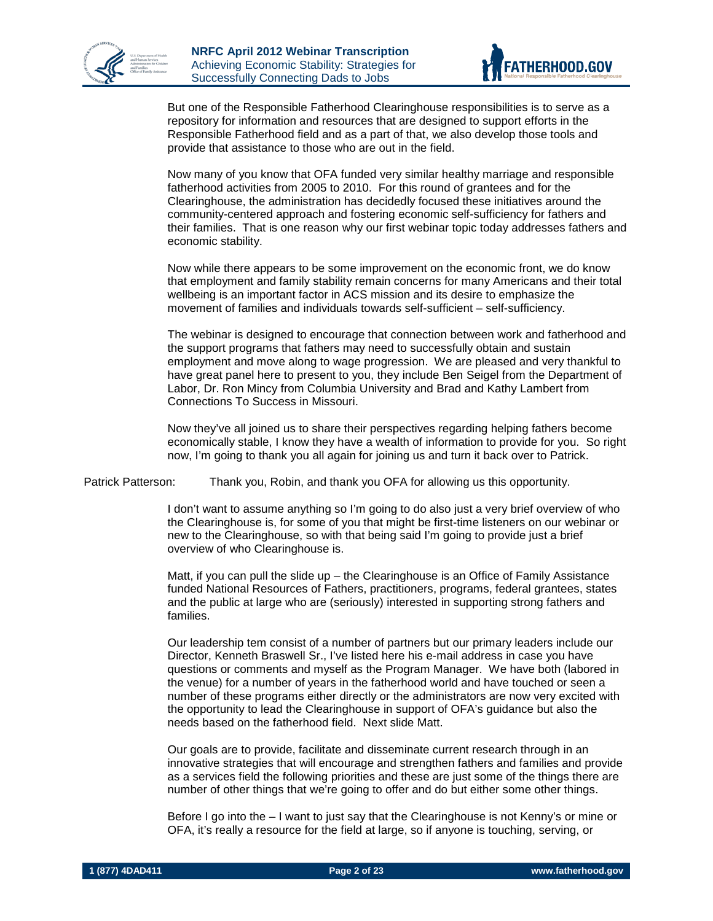



But one of the Responsible Fatherhood Clearinghouse responsibilities is to serve as a repository for information and resources that are designed to support efforts in the Responsible Fatherhood field and as a part of that, we also develop those tools and provide that assistance to those who are out in the field.

Now many of you know that OFA funded very similar healthy marriage and responsible fatherhood activities from 2005 to 2010. For this round of grantees and for the Clearinghouse, the administration has decidedly focused these initiatives around the community-centered approach and fostering economic self-sufficiency for fathers and their families. That is one reason why our first webinar topic today addresses fathers and economic stability.

Now while there appears to be some improvement on the economic front, we do know that employment and family stability remain concerns for many Americans and their total wellbeing is an important factor in ACS mission and its desire to emphasize the movement of families and individuals towards self-sufficient – self-sufficiency.

The webinar is designed to encourage that connection between work and fatherhood and the support programs that fathers may need to successfully obtain and sustain employment and move along to wage progression. We are pleased and very thankful to have great panel here to present to you, they include Ben Seigel from the Department of Labor, Dr. Ron Mincy from Columbia University and Brad and Kathy Lambert from Connections To Success in Missouri.

Now they've all joined us to share their perspectives regarding helping fathers become economically stable, I know they have a wealth of information to provide for you. So right now, I'm going to thank you all again for joining us and turn it back over to Patrick.

Patrick Patterson: Thank you, Robin, and thank you OFA for allowing us this opportunity.

I don't want to assume anything so I'm going to do also just a very brief overview of who the Clearinghouse is, for some of you that might be first-time listeners on our webinar or new to the Clearinghouse, so with that being said I'm going to provide just a brief overview of who Clearinghouse is.

Matt, if you can pull the slide up – the Clearinghouse is an Office of Family Assistance funded National Resources of Fathers, practitioners, programs, federal grantees, states and the public at large who are (seriously) interested in supporting strong fathers and families.

Our leadership tem consist of a number of partners but our primary leaders include our Director, Kenneth Braswell Sr., I've listed here his e-mail address in case you have questions or comments and myself as the Program Manager. We have both (labored in the venue) for a number of years in the fatherhood world and have touched or seen a number of these programs either directly or the administrators are now very excited with the opportunity to lead the Clearinghouse in support of OFA's guidance but also the needs based on the fatherhood field. Next slide Matt.

Our goals are to provide, facilitate and disseminate current research through in an innovative strategies that will encourage and strengthen fathers and families and provide as a services field the following priorities and these are just some of the things there are number of other things that we're going to offer and do but either some other things.

Before I go into the – I want to just say that the Clearinghouse is not Kenny's or mine or OFA, it's really a resource for the field at large, so if anyone is touching, serving, or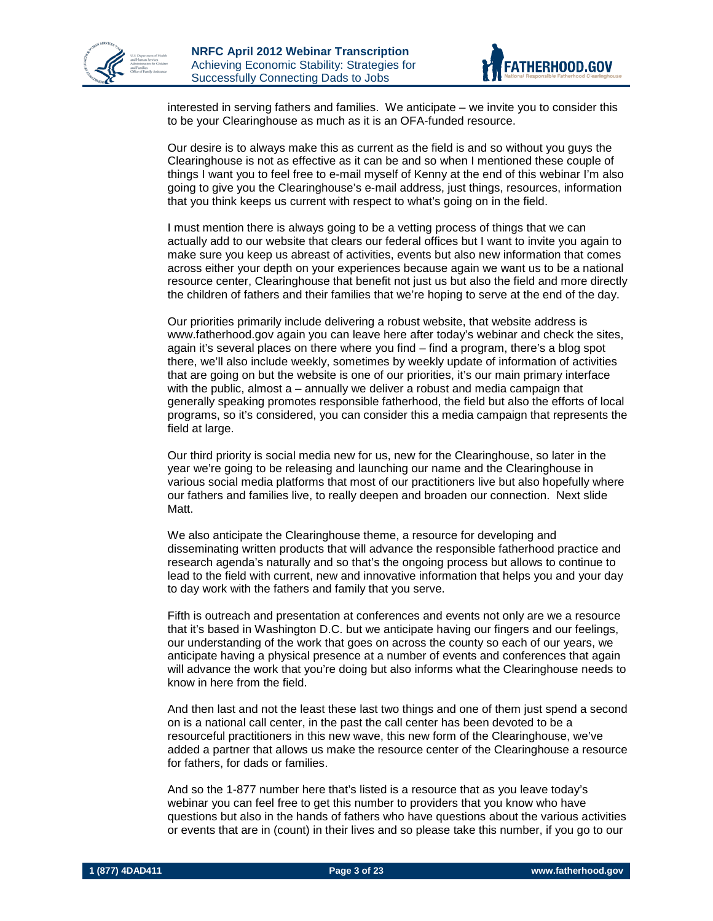



interested in serving fathers and families. We anticipate – we invite you to consider this to be your Clearinghouse as much as it is an OFA-funded resource.

Our desire is to always make this as current as the field is and so without you guys the Clearinghouse is not as effective as it can be and so when I mentioned these couple of things I want you to feel free to e-mail myself of Kenny at the end of this webinar I'm also going to give you the Clearinghouse's e-mail address, just things, resources, information that you think keeps us current with respect to what's going on in the field.

I must mention there is always going to be a vetting process of things that we can actually add to our website that clears our federal offices but I want to invite you again to make sure you keep us abreast of activities, events but also new information that comes across either your depth on your experiences because again we want us to be a national resource center, Clearinghouse that benefit not just us but also the field and more directly the children of fathers and their families that we're hoping to serve at the end of the day.

Our priorities primarily include delivering a robust website, that website address is www.fatherhood.gov again you can leave here after today's webinar and check the sites, again it's several places on there where you find – find a program, there's a blog spot there, we'll also include weekly, sometimes by weekly update of information of activities that are going on but the website is one of our priorities, it's our main primary interface with the public, almost a – annually we deliver a robust and media campaign that generally speaking promotes responsible fatherhood, the field but also the efforts of local programs, so it's considered, you can consider this a media campaign that represents the field at large.

Our third priority is social media new for us, new for the Clearinghouse, so later in the year we're going to be releasing and launching our name and the Clearinghouse in various social media platforms that most of our practitioners live but also hopefully where our fathers and families live, to really deepen and broaden our connection. Next slide Matt.

We also anticipate the Clearinghouse theme, a resource for developing and disseminating written products that will advance the responsible fatherhood practice and research agenda's naturally and so that's the ongoing process but allows to continue to lead to the field with current, new and innovative information that helps you and your day to day work with the fathers and family that you serve.

Fifth is outreach and presentation at conferences and events not only are we a resource that it's based in Washington D.C. but we anticipate having our fingers and our feelings, our understanding of the work that goes on across the county so each of our years, we anticipate having a physical presence at a number of events and conferences that again will advance the work that you're doing but also informs what the Clearinghouse needs to know in here from the field.

And then last and not the least these last two things and one of them just spend a second on is a national call center, in the past the call center has been devoted to be a resourceful practitioners in this new wave, this new form of the Clearinghouse, we've added a partner that allows us make the resource center of the Clearinghouse a resource for fathers, for dads or families.

And so the 1-877 number here that's listed is a resource that as you leave today's webinar you can feel free to get this number to providers that you know who have questions but also in the hands of fathers who have questions about the various activities or events that are in (count) in their lives and so please take this number, if you go to our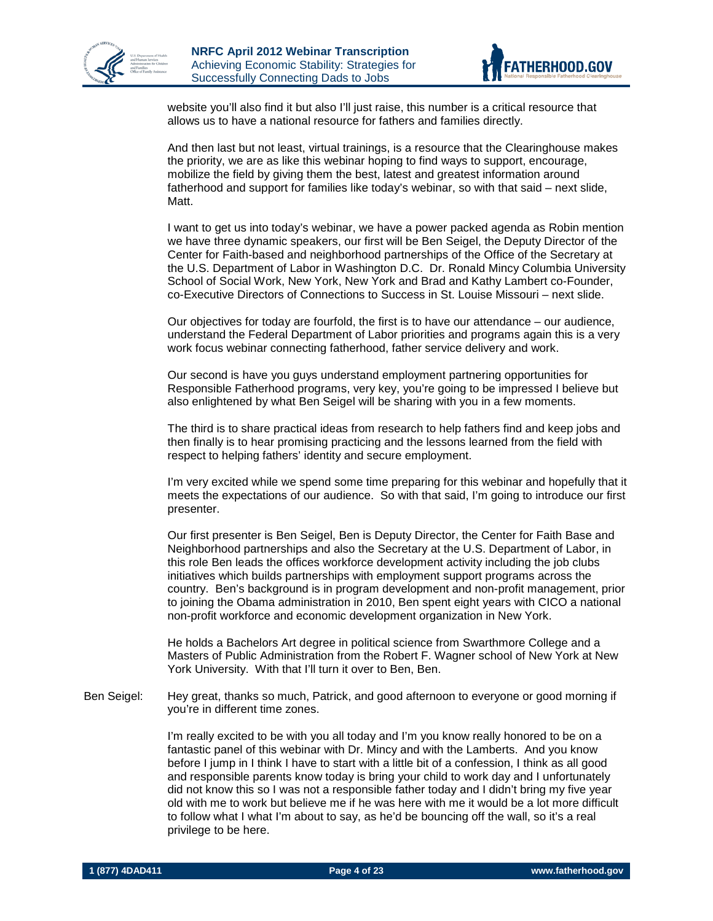



website you'll also find it but also I'll just raise, this number is a critical resource that allows us to have a national resource for fathers and families directly.

And then last but not least, virtual trainings, is a resource that the Clearinghouse makes the priority, we are as like this webinar hoping to find ways to support, encourage, mobilize the field by giving them the best, latest and greatest information around fatherhood and support for families like today's webinar, so with that said – next slide, Matt.

I want to get us into today's webinar, we have a power packed agenda as Robin mention we have three dynamic speakers, our first will be Ben Seigel, the Deputy Director of the Center for Faith-based and neighborhood partnerships of the Office of the Secretary at the U.S. Department of Labor in Washington D.C. Dr. Ronald Mincy Columbia University School of Social Work, New York, New York and Brad and Kathy Lambert co-Founder, co-Executive Directors of Connections to Success in St. Louise Missouri – next slide.

Our objectives for today are fourfold, the first is to have our attendance – our audience, understand the Federal Department of Labor priorities and programs again this is a very work focus webinar connecting fatherhood, father service delivery and work.

Our second is have you guys understand employment partnering opportunities for Responsible Fatherhood programs, very key, you're going to be impressed I believe but also enlightened by what Ben Seigel will be sharing with you in a few moments.

The third is to share practical ideas from research to help fathers find and keep jobs and then finally is to hear promising practicing and the lessons learned from the field with respect to helping fathers' identity and secure employment.

I'm very excited while we spend some time preparing for this webinar and hopefully that it meets the expectations of our audience. So with that said, I'm going to introduce our first presenter.

Our first presenter is Ben Seigel, Ben is Deputy Director, the Center for Faith Base and Neighborhood partnerships and also the Secretary at the U.S. Department of Labor, in this role Ben leads the offices workforce development activity including the job clubs initiatives which builds partnerships with employment support programs across the country. Ben's background is in program development and non-profit management, prior to joining the Obama administration in 2010, Ben spent eight years with CICO a national non-profit workforce and economic development organization in New York.

He holds a Bachelors Art degree in political science from Swarthmore College and a Masters of Public Administration from the Robert F. Wagner school of New York at New York University. With that I'll turn it over to Ben, Ben.

Ben Seigel: Hey great, thanks so much, Patrick, and good afternoon to everyone or good morning if you're in different time zones.

> I'm really excited to be with you all today and I'm you know really honored to be on a fantastic panel of this webinar with Dr. Mincy and with the Lamberts. And you know before I jump in I think I have to start with a little bit of a confession, I think as all good and responsible parents know today is bring your child to work day and I unfortunately did not know this so I was not a responsible father today and I didn't bring my five year old with me to work but believe me if he was here with me it would be a lot more difficult to follow what I what I'm about to say, as he'd be bouncing off the wall, so it's a real privilege to be here.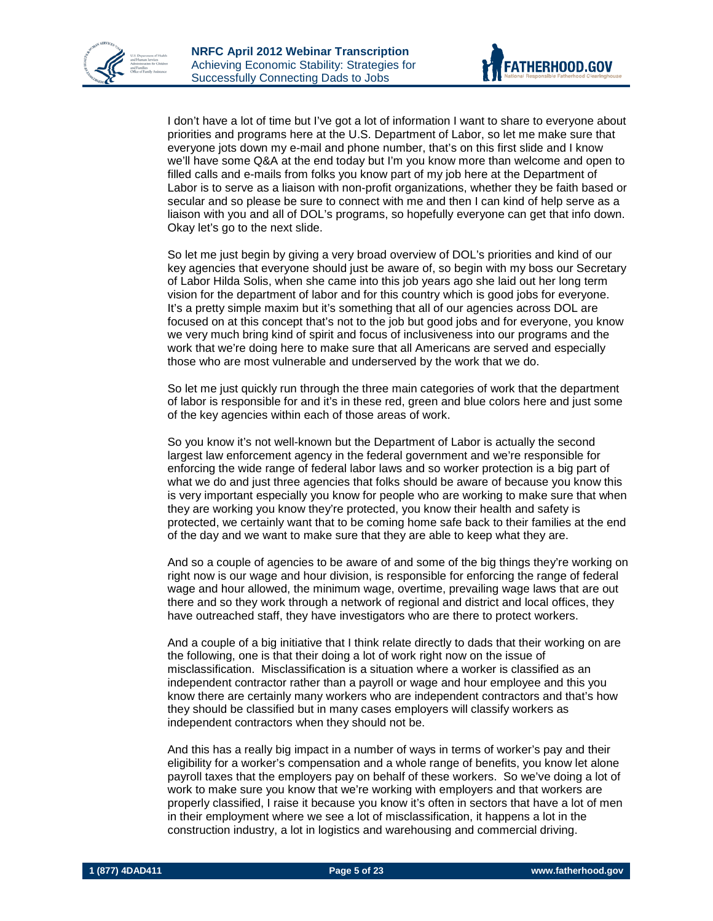



I don't have a lot of time but I've got a lot of information I want to share to everyone about priorities and programs here at the U.S. Department of Labor, so let me make sure that everyone jots down my e-mail and phone number, that's on this first slide and I know we'll have some Q&A at the end today but I'm you know more than welcome and open to filled calls and e-mails from folks you know part of my job here at the Department of Labor is to serve as a liaison with non-profit organizations, whether they be faith based or secular and so please be sure to connect with me and then I can kind of help serve as a liaison with you and all of DOL's programs, so hopefully everyone can get that info down. Okay let's go to the next slide.

So let me just begin by giving a very broad overview of DOL's priorities and kind of our key agencies that everyone should just be aware of, so begin with my boss our Secretary of Labor Hilda Solis, when she came into this job years ago she laid out her long term vision for the department of labor and for this country which is good jobs for everyone. It's a pretty simple maxim but it's something that all of our agencies across DOL are focused on at this concept that's not to the job but good jobs and for everyone, you know we very much bring kind of spirit and focus of inclusiveness into our programs and the work that we're doing here to make sure that all Americans are served and especially those who are most vulnerable and underserved by the work that we do.

So let me just quickly run through the three main categories of work that the department of labor is responsible for and it's in these red, green and blue colors here and just some of the key agencies within each of those areas of work.

So you know it's not well-known but the Department of Labor is actually the second largest law enforcement agency in the federal government and we're responsible for enforcing the wide range of federal labor laws and so worker protection is a big part of what we do and just three agencies that folks should be aware of because you know this is very important especially you know for people who are working to make sure that when they are working you know they're protected, you know their health and safety is protected, we certainly want that to be coming home safe back to their families at the end of the day and we want to make sure that they are able to keep what they are.

And so a couple of agencies to be aware of and some of the big things they're working on right now is our wage and hour division, is responsible for enforcing the range of federal wage and hour allowed, the minimum wage, overtime, prevailing wage laws that are out there and so they work through a network of regional and district and local offices, they have outreached staff, they have investigators who are there to protect workers.

And a couple of a big initiative that I think relate directly to dads that their working on are the following, one is that their doing a lot of work right now on the issue of misclassification. Misclassification is a situation where a worker is classified as an independent contractor rather than a payroll or wage and hour employee and this you know there are certainly many workers who are independent contractors and that's how they should be classified but in many cases employers will classify workers as independent contractors when they should not be.

And this has a really big impact in a number of ways in terms of worker's pay and their eligibility for a worker's compensation and a whole range of benefits, you know let alone payroll taxes that the employers pay on behalf of these workers. So we've doing a lot of work to make sure you know that we're working with employers and that workers are properly classified, I raise it because you know it's often in sectors that have a lot of men in their employment where we see a lot of misclassification, it happens a lot in the construction industry, a lot in logistics and warehousing and commercial driving.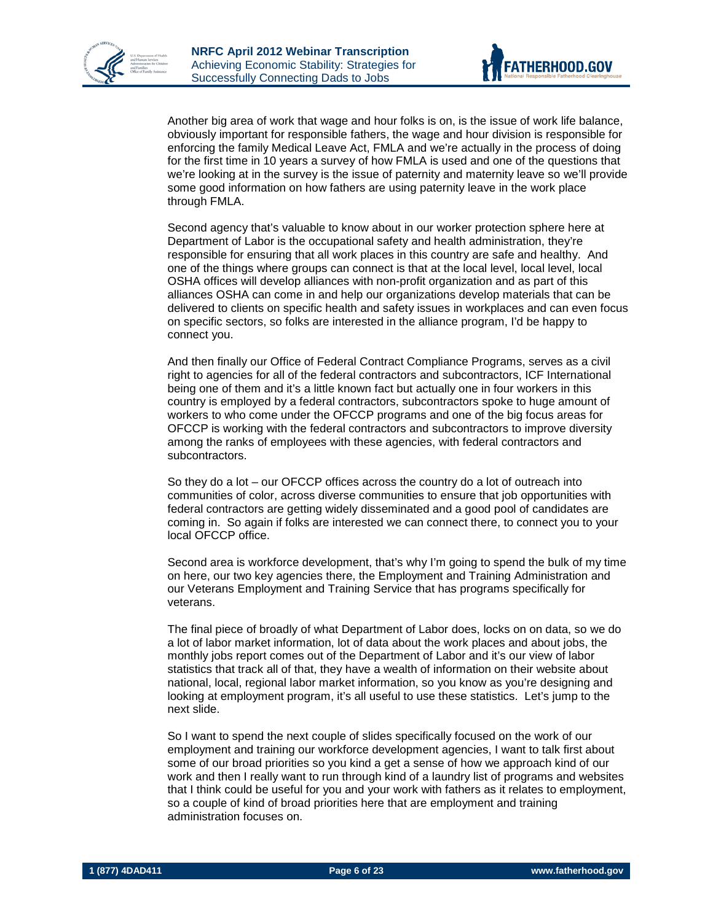



Another big area of work that wage and hour folks is on, is the issue of work life balance, obviously important for responsible fathers, the wage and hour division is responsible for enforcing the family Medical Leave Act, FMLA and we're actually in the process of doing for the first time in 10 years a survey of how FMLA is used and one of the questions that we're looking at in the survey is the issue of paternity and maternity leave so we'll provide some good information on how fathers are using paternity leave in the work place through FMLA.

Second agency that's valuable to know about in our worker protection sphere here at Department of Labor is the occupational safety and health administration, they're responsible for ensuring that all work places in this country are safe and healthy. And one of the things where groups can connect is that at the local level, local level, local OSHA offices will develop alliances with non-profit organization and as part of this alliances OSHA can come in and help our organizations develop materials that can be delivered to clients on specific health and safety issues in workplaces and can even focus on specific sectors, so folks are interested in the alliance program, I'd be happy to connect you.

And then finally our Office of Federal Contract Compliance Programs, serves as a civil right to agencies for all of the federal contractors and subcontractors, ICF International being one of them and it's a little known fact but actually one in four workers in this country is employed by a federal contractors, subcontractors spoke to huge amount of workers to who come under the OFCCP programs and one of the big focus areas for OFCCP is working with the federal contractors and subcontractors to improve diversity among the ranks of employees with these agencies, with federal contractors and subcontractors.

So they do a lot – our OFCCP offices across the country do a lot of outreach into communities of color, across diverse communities to ensure that job opportunities with federal contractors are getting widely disseminated and a good pool of candidates are coming in. So again if folks are interested we can connect there, to connect you to your local OFCCP office.

Second area is workforce development, that's why I'm going to spend the bulk of my time on here, our two key agencies there, the Employment and Training Administration and our Veterans Employment and Training Service that has programs specifically for veterans.

The final piece of broadly of what Department of Labor does, locks on on data, so we do a lot of labor market information, lot of data about the work places and about jobs, the monthly jobs report comes out of the Department of Labor and it's our view of labor statistics that track all of that, they have a wealth of information on their website about national, local, regional labor market information, so you know as you're designing and looking at employment program, it's all useful to use these statistics. Let's jump to the next slide.

So I want to spend the next couple of slides specifically focused on the work of our employment and training our workforce development agencies, I want to talk first about some of our broad priorities so you kind a get a sense of how we approach kind of our work and then I really want to run through kind of a laundry list of programs and websites that I think could be useful for you and your work with fathers as it relates to employment, so a couple of kind of broad priorities here that are employment and training administration focuses on.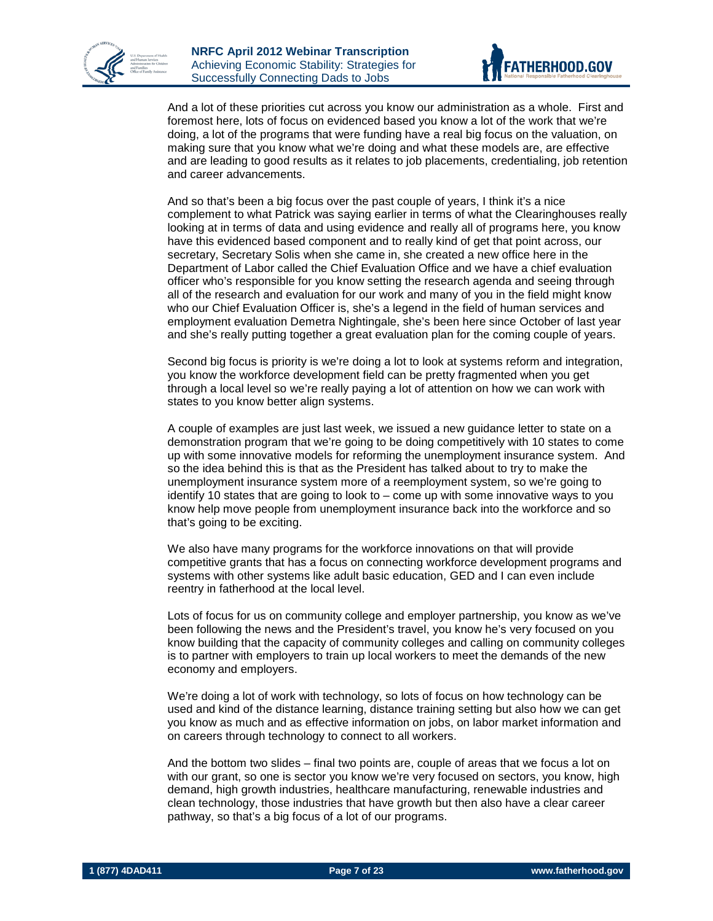



And a lot of these priorities cut across you know our administration as a whole. First and foremost here, lots of focus on evidenced based you know a lot of the work that we're doing, a lot of the programs that were funding have a real big focus on the valuation, on making sure that you know what we're doing and what these models are, are effective and are leading to good results as it relates to job placements, credentialing, job retention and career advancements.

And so that's been a big focus over the past couple of years, I think it's a nice complement to what Patrick was saying earlier in terms of what the Clearinghouses really looking at in terms of data and using evidence and really all of programs here, you know have this evidenced based component and to really kind of get that point across, our secretary, Secretary Solis when she came in, she created a new office here in the Department of Labor called the Chief Evaluation Office and we have a chief evaluation officer who's responsible for you know setting the research agenda and seeing through all of the research and evaluation for our work and many of you in the field might know who our Chief Evaluation Officer is, she's a legend in the field of human services and employment evaluation Demetra Nightingale, she's been here since October of last year and she's really putting together a great evaluation plan for the coming couple of years.

Second big focus is priority is we're doing a lot to look at systems reform and integration, you know the workforce development field can be pretty fragmented when you get through a local level so we're really paying a lot of attention on how we can work with states to you know better align systems.

A couple of examples are just last week, we issued a new guidance letter to state on a demonstration program that we're going to be doing competitively with 10 states to come up with some innovative models for reforming the unemployment insurance system. And so the idea behind this is that as the President has talked about to try to make the unemployment insurance system more of a reemployment system, so we're going to identify 10 states that are going to look to – come up with some innovative ways to you know help move people from unemployment insurance back into the workforce and so that's going to be exciting.

We also have many programs for the workforce innovations on that will provide competitive grants that has a focus on connecting workforce development programs and systems with other systems like adult basic education, GED and I can even include reentry in fatherhood at the local level.

Lots of focus for us on community college and employer partnership, you know as we've been following the news and the President's travel, you know he's very focused on you know building that the capacity of community colleges and calling on community colleges is to partner with employers to train up local workers to meet the demands of the new economy and employers.

We're doing a lot of work with technology, so lots of focus on how technology can be used and kind of the distance learning, distance training setting but also how we can get you know as much and as effective information on jobs, on labor market information and on careers through technology to connect to all workers.

And the bottom two slides – final two points are, couple of areas that we focus a lot on with our grant, so one is sector you know we're very focused on sectors, you know, high demand, high growth industries, healthcare manufacturing, renewable industries and clean technology, those industries that have growth but then also have a clear career pathway, so that's a big focus of a lot of our programs.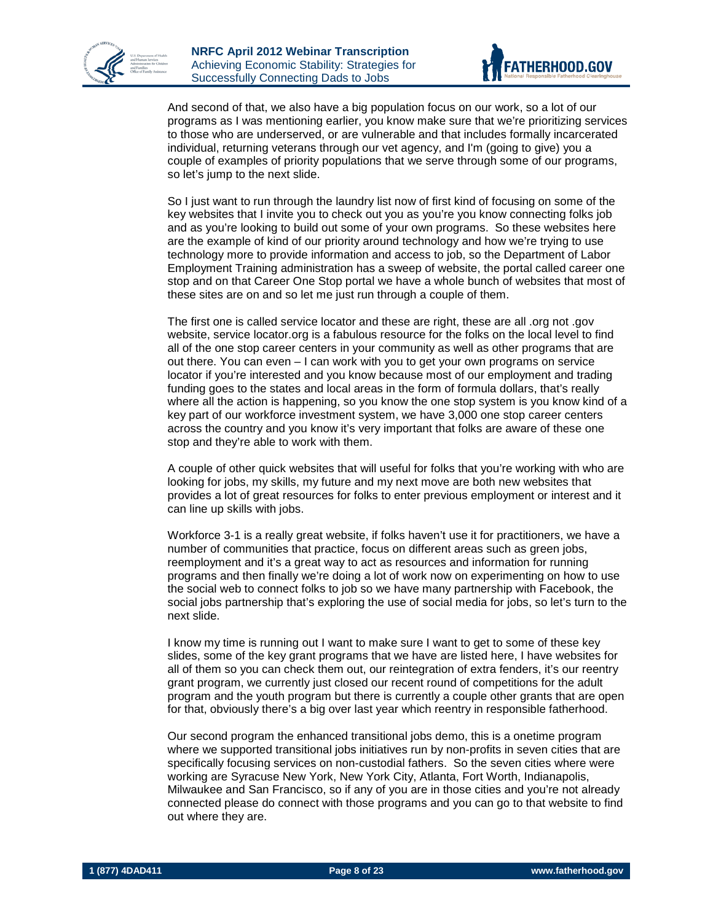



And second of that, we also have a big population focus on our work, so a lot of our programs as I was mentioning earlier, you know make sure that we're prioritizing services to those who are underserved, or are vulnerable and that includes formally incarcerated individual, returning veterans through our vet agency, and I'm (going to give) you a couple of examples of priority populations that we serve through some of our programs, so let's jump to the next slide.

So I just want to run through the laundry list now of first kind of focusing on some of the key websites that I invite you to check out you as you're you know connecting folks job and as you're looking to build out some of your own programs. So these websites here are the example of kind of our priority around technology and how we're trying to use technology more to provide information and access to job, so the Department of Labor Employment Training administration has a sweep of website, the portal called career one stop and on that Career One Stop portal we have a whole bunch of websites that most of these sites are on and so let me just run through a couple of them.

The first one is called service locator and these are right, these are all .org not .gov website, service locator.org is a fabulous resource for the folks on the local level to find all of the one stop career centers in your community as well as other programs that are out there. You can even – I can work with you to get your own programs on service locator if you're interested and you know because most of our employment and trading funding goes to the states and local areas in the form of formula dollars, that's really where all the action is happening, so you know the one stop system is you know kind of a key part of our workforce investment system, we have 3,000 one stop career centers across the country and you know it's very important that folks are aware of these one stop and they're able to work with them.

A couple of other quick websites that will useful for folks that you're working with who are looking for jobs, my skills, my future and my next move are both new websites that provides a lot of great resources for folks to enter previous employment or interest and it can line up skills with jobs.

Workforce 3-1 is a really great website, if folks haven't use it for practitioners, we have a number of communities that practice, focus on different areas such as green jobs, reemployment and it's a great way to act as resources and information for running programs and then finally we're doing a lot of work now on experimenting on how to use the social web to connect folks to job so we have many partnership with Facebook, the social jobs partnership that's exploring the use of social media for jobs, so let's turn to the next slide.

I know my time is running out I want to make sure I want to get to some of these key slides, some of the key grant programs that we have are listed here, I have websites for all of them so you can check them out, our reintegration of extra fenders, it's our reentry grant program, we currently just closed our recent round of competitions for the adult program and the youth program but there is currently a couple other grants that are open for that, obviously there's a big over last year which reentry in responsible fatherhood.

Our second program the enhanced transitional jobs demo, this is a onetime program where we supported transitional jobs initiatives run by non-profits in seven cities that are specifically focusing services on non-custodial fathers. So the seven cities where were working are Syracuse New York, New York City, Atlanta, Fort Worth, Indianapolis, Milwaukee and San Francisco, so if any of you are in those cities and you're not already connected please do connect with those programs and you can go to that website to find out where they are.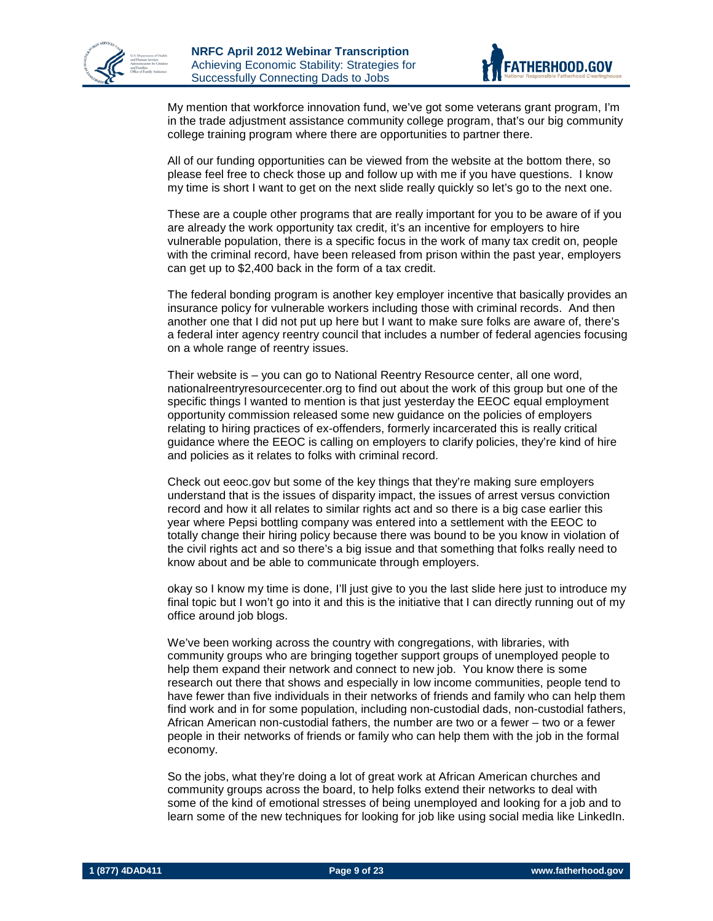



My mention that workforce innovation fund, we've got some veterans grant program, I'm in the trade adjustment assistance community college program, that's our big community college training program where there are opportunities to partner there.

All of our funding opportunities can be viewed from the website at the bottom there, so please feel free to check those up and follow up with me if you have questions. I know my time is short I want to get on the next slide really quickly so let's go to the next one.

These are a couple other programs that are really important for you to be aware of if you are already the work opportunity tax credit, it's an incentive for employers to hire vulnerable population, there is a specific focus in the work of many tax credit on, people with the criminal record, have been released from prison within the past year, employers can get up to \$2,400 back in the form of a tax credit.

The federal bonding program is another key employer incentive that basically provides an insurance policy for vulnerable workers including those with criminal records. And then another one that I did not put up here but I want to make sure folks are aware of, there's a federal inter agency reentry council that includes a number of federal agencies focusing on a whole range of reentry issues.

Their website is – you can go to National Reentry Resource center, all one word, nationalreentryresourcecenter.org to find out about the work of this group but one of the specific things I wanted to mention is that just yesterday the EEOC equal employment opportunity commission released some new guidance on the policies of employers relating to hiring practices of ex-offenders, formerly incarcerated this is really critical guidance where the EEOC is calling on employers to clarify policies, they're kind of hire and policies as it relates to folks with criminal record.

Check out eeoc.gov but some of the key things that they're making sure employers understand that is the issues of disparity impact, the issues of arrest versus conviction record and how it all relates to similar rights act and so there is a big case earlier this year where Pepsi bottling company was entered into a settlement with the EEOC to totally change their hiring policy because there was bound to be you know in violation of the civil rights act and so there's a big issue and that something that folks really need to know about and be able to communicate through employers.

okay so I know my time is done, I'll just give to you the last slide here just to introduce my final topic but I won't go into it and this is the initiative that I can directly running out of my office around job blogs.

We've been working across the country with congregations, with libraries, with community groups who are bringing together support groups of unemployed people to help them expand their network and connect to new job. You know there is some research out there that shows and especially in low income communities, people tend to have fewer than five individuals in their networks of friends and family who can help them find work and in for some population, including non-custodial dads, non-custodial fathers, African American non-custodial fathers, the number are two or a fewer – two or a fewer people in their networks of friends or family who can help them with the job in the formal economy.

So the jobs, what they're doing a lot of great work at African American churches and community groups across the board, to help folks extend their networks to deal with some of the kind of emotional stresses of being unemployed and looking for a job and to learn some of the new techniques for looking for job like using social media like LinkedIn.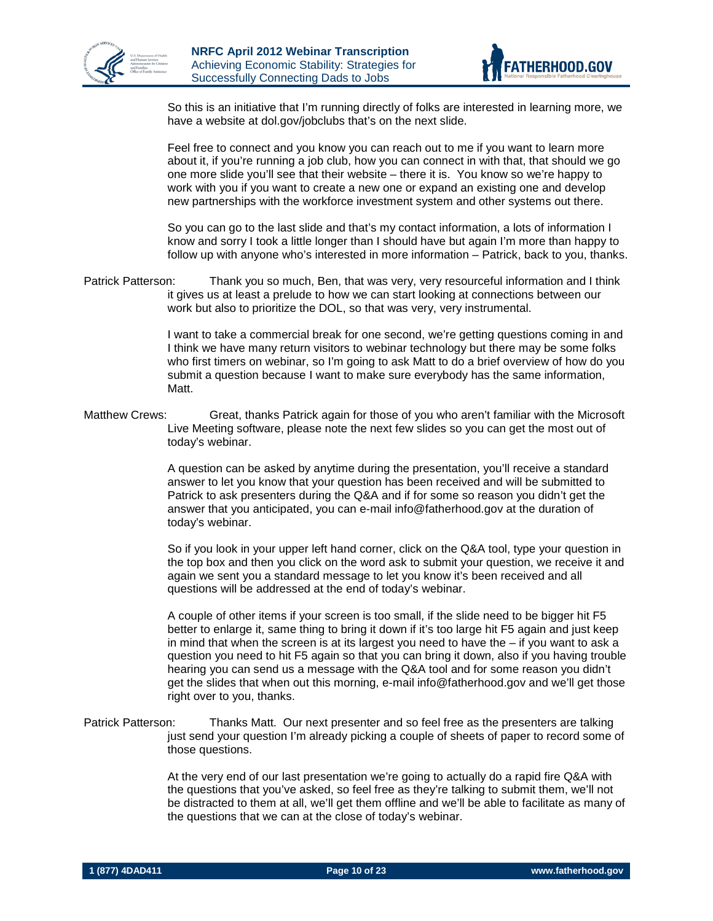



So this is an initiative that I'm running directly of folks are interested in learning more, we have a website at dol.gov/jobclubs that's on the next slide.

Feel free to connect and you know you can reach out to me if you want to learn more about it, if you're running a job club, how you can connect in with that, that should we go one more slide you'll see that their website – there it is. You know so we're happy to work with you if you want to create a new one or expand an existing one and develop new partnerships with the workforce investment system and other systems out there.

So you can go to the last slide and that's my contact information, a lots of information I know and sorry I took a little longer than I should have but again I'm more than happy to follow up with anyone who's interested in more information – Patrick, back to you, thanks.

Patrick Patterson: Thank you so much, Ben, that was very, very resourceful information and I think it gives us at least a prelude to how we can start looking at connections between our work but also to prioritize the DOL, so that was very, very instrumental.

> I want to take a commercial break for one second, we're getting questions coming in and I think we have many return visitors to webinar technology but there may be some folks who first timers on webinar, so I'm going to ask Matt to do a brief overview of how do you submit a question because I want to make sure everybody has the same information, Matt.

Matthew Crews: Great, thanks Patrick again for those of you who aren't familiar with the Microsoft Live Meeting software, please note the next few slides so you can get the most out of today's webinar.

> A question can be asked by anytime during the presentation, you'll receive a standard answer to let you know that your question has been received and will be submitted to Patrick to ask presenters during the Q&A and if for some so reason you didn't get the answer that you anticipated, you can e-mail info@fatherhood.gov at the duration of today's webinar.

So if you look in your upper left hand corner, click on the Q&A tool, type your question in the top box and then you click on the word ask to submit your question, we receive it and again we sent you a standard message to let you know it's been received and all questions will be addressed at the end of today's webinar.

A couple of other items if your screen is too small, if the slide need to be bigger hit F5 better to enlarge it, same thing to bring it down if it's too large hit F5 again and just keep in mind that when the screen is at its largest you need to have the  $-$  if you want to ask a question you need to hit F5 again so that you can bring it down, also if you having trouble hearing you can send us a message with the Q&A tool and for some reason you didn't get the slides that when out this morning, e-mail info@fatherhood.gov and we'll get those right over to you, thanks.

Patrick Patterson: Thanks Matt. Our next presenter and so feel free as the presenters are talking just send your question I'm already picking a couple of sheets of paper to record some of those questions.

> At the very end of our last presentation we're going to actually do a rapid fire Q&A with the questions that you've asked, so feel free as they're talking to submit them, we'll not be distracted to them at all, we'll get them offline and we'll be able to facilitate as many of the questions that we can at the close of today's webinar.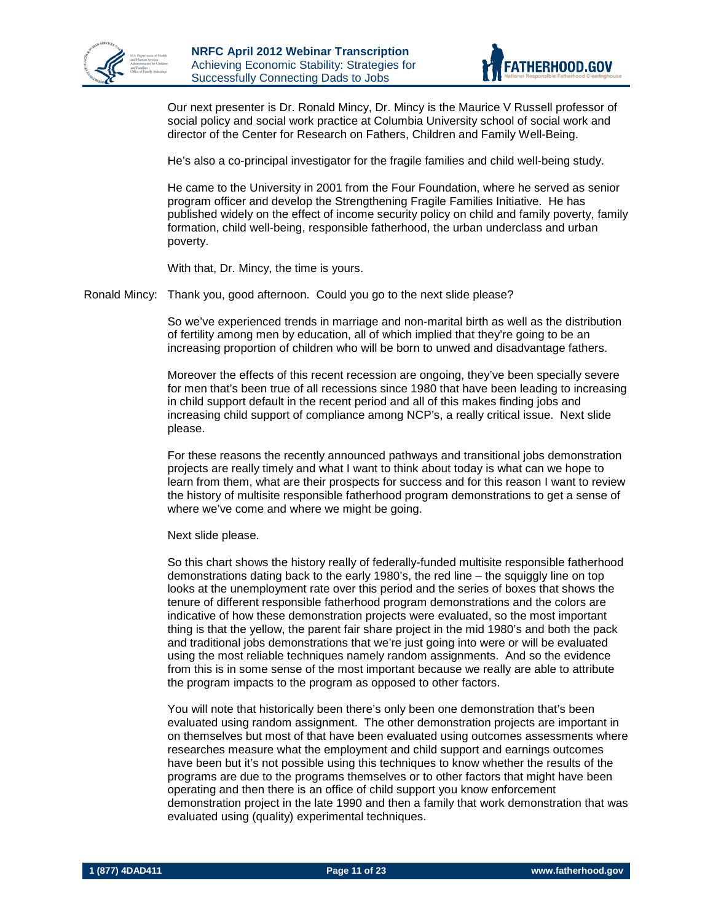



Our next presenter is Dr. Ronald Mincy, Dr. Mincy is the Maurice V Russell professor of social policy and social work practice at Columbia University school of social work and director of the Center for Research on Fathers, Children and Family Well-Being.

He's also a co-principal investigator for the fragile families and child well-being study.

He came to the University in 2001 from the Four Foundation, where he served as senior program officer and develop the Strengthening Fragile Families Initiative. He has published widely on the effect of income security policy on child and family poverty, family formation, child well-being, responsible fatherhood, the urban underclass and urban poverty.

With that, Dr. Mincy, the time is yours.

Ronald Mincy: Thank you, good afternoon. Could you go to the next slide please?

So we've experienced trends in marriage and non-marital birth as well as the distribution of fertility among men by education, all of which implied that they're going to be an increasing proportion of children who will be born to unwed and disadvantage fathers.

Moreover the effects of this recent recession are ongoing, they've been specially severe for men that's been true of all recessions since 1980 that have been leading to increasing in child support default in the recent period and all of this makes finding jobs and increasing child support of compliance among NCP's, a really critical issue. Next slide please.

For these reasons the recently announced pathways and transitional jobs demonstration projects are really timely and what I want to think about today is what can we hope to learn from them, what are their prospects for success and for this reason I want to review the history of multisite responsible fatherhood program demonstrations to get a sense of where we've come and where we might be going.

Next slide please.

So this chart shows the history really of federally-funded multisite responsible fatherhood demonstrations dating back to the early 1980's, the red line – the squiggly line on top looks at the unemployment rate over this period and the series of boxes that shows the tenure of different responsible fatherhood program demonstrations and the colors are indicative of how these demonstration projects were evaluated, so the most important thing is that the yellow, the parent fair share project in the mid 1980's and both the pack and traditional jobs demonstrations that we're just going into were or will be evaluated using the most reliable techniques namely random assignments. And so the evidence from this is in some sense of the most important because we really are able to attribute the program impacts to the program as opposed to other factors.

You will note that historically been there's only been one demonstration that's been evaluated using random assignment. The other demonstration projects are important in on themselves but most of that have been evaluated using outcomes assessments where researches measure what the employment and child support and earnings outcomes have been but it's not possible using this techniques to know whether the results of the programs are due to the programs themselves or to other factors that might have been operating and then there is an office of child support you know enforcement demonstration project in the late 1990 and then a family that work demonstration that was evaluated using (quality) experimental techniques.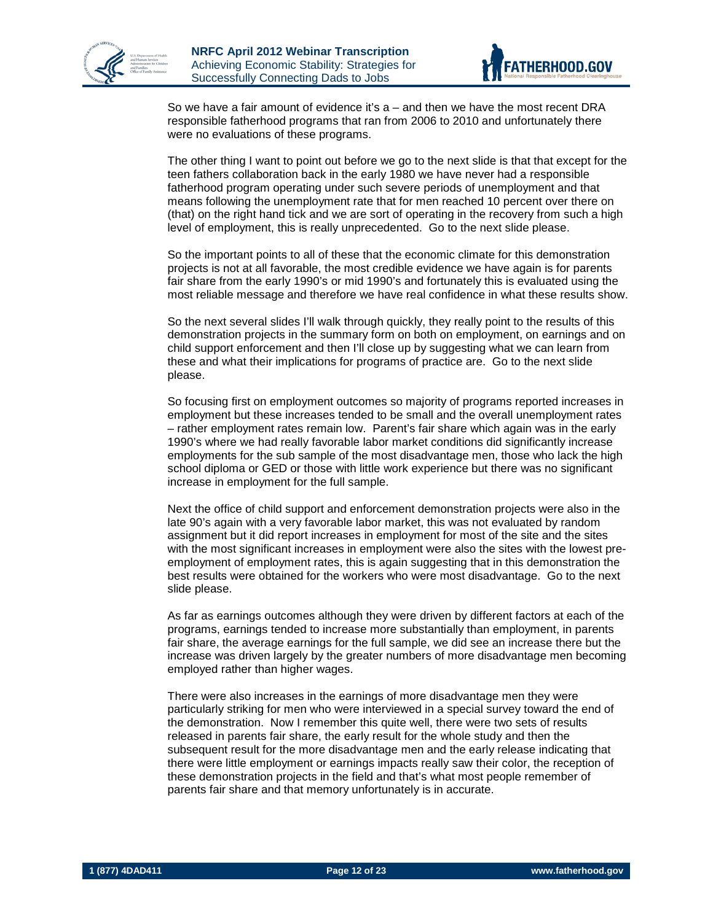



So we have a fair amount of evidence it's a – and then we have the most recent DRA responsible fatherhood programs that ran from 2006 to 2010 and unfortunately there were no evaluations of these programs.

The other thing I want to point out before we go to the next slide is that that except for the teen fathers collaboration back in the early 1980 we have never had a responsible fatherhood program operating under such severe periods of unemployment and that means following the unemployment rate that for men reached 10 percent over there on (that) on the right hand tick and we are sort of operating in the recovery from such a high level of employment, this is really unprecedented. Go to the next slide please.

So the important points to all of these that the economic climate for this demonstration projects is not at all favorable, the most credible evidence we have again is for parents fair share from the early 1990's or mid 1990's and fortunately this is evaluated using the most reliable message and therefore we have real confidence in what these results show.

So the next several slides I'll walk through quickly, they really point to the results of this demonstration projects in the summary form on both on employment, on earnings and on child support enforcement and then I'll close up by suggesting what we can learn from these and what their implications for programs of practice are. Go to the next slide please.

So focusing first on employment outcomes so majority of programs reported increases in employment but these increases tended to be small and the overall unemployment rates – rather employment rates remain low. Parent's fair share which again was in the early 1990's where we had really favorable labor market conditions did significantly increase employments for the sub sample of the most disadvantage men, those who lack the high school diploma or GED or those with little work experience but there was no significant increase in employment for the full sample.

Next the office of child support and enforcement demonstration projects were also in the late 90's again with a very favorable labor market, this was not evaluated by random assignment but it did report increases in employment for most of the site and the sites with the most significant increases in employment were also the sites with the lowest preemployment of employment rates, this is again suggesting that in this demonstration the best results were obtained for the workers who were most disadvantage. Go to the next slide please.

As far as earnings outcomes although they were driven by different factors at each of the programs, earnings tended to increase more substantially than employment, in parents fair share, the average earnings for the full sample, we did see an increase there but the increase was driven largely by the greater numbers of more disadvantage men becoming employed rather than higher wages.

There were also increases in the earnings of more disadvantage men they were particularly striking for men who were interviewed in a special survey toward the end of the demonstration. Now I remember this quite well, there were two sets of results released in parents fair share, the early result for the whole study and then the subsequent result for the more disadvantage men and the early release indicating that there were little employment or earnings impacts really saw their color, the reception of these demonstration projects in the field and that's what most people remember of parents fair share and that memory unfortunately is in accurate.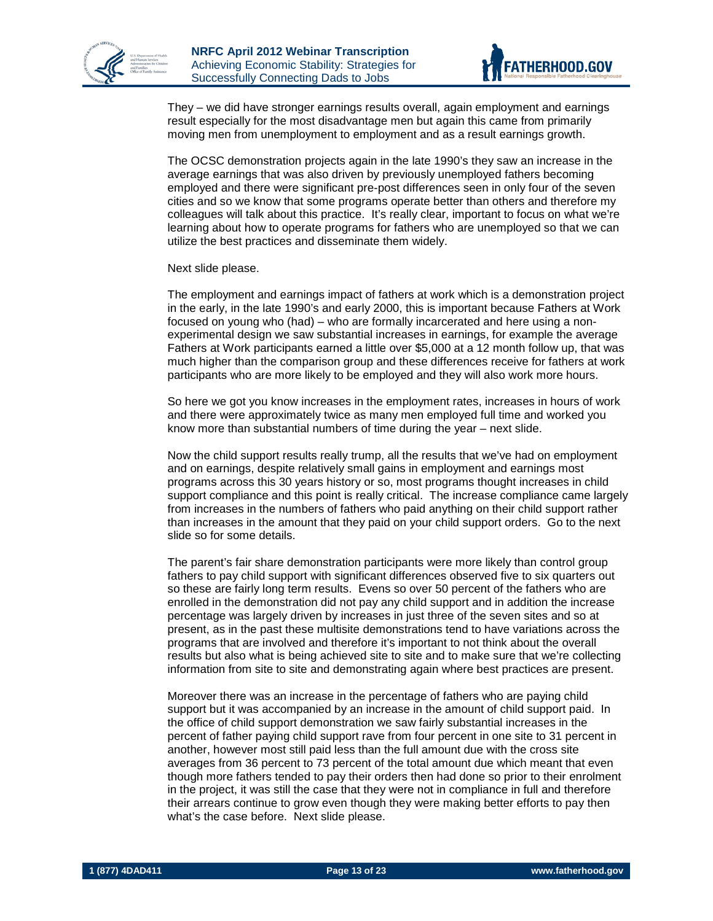



They – we did have stronger earnings results overall, again employment and earnings result especially for the most disadvantage men but again this came from primarily moving men from unemployment to employment and as a result earnings growth.

The OCSC demonstration projects again in the late 1990's they saw an increase in the average earnings that was also driven by previously unemployed fathers becoming employed and there were significant pre-post differences seen in only four of the seven cities and so we know that some programs operate better than others and therefore my colleagues will talk about this practice. It's really clear, important to focus on what we're learning about how to operate programs for fathers who are unemployed so that we can utilize the best practices and disseminate them widely.

#### Next slide please.

The employment and earnings impact of fathers at work which is a demonstration project in the early, in the late 1990's and early 2000, this is important because Fathers at Work focused on young who (had) – who are formally incarcerated and here using a nonexperimental design we saw substantial increases in earnings, for example the average Fathers at Work participants earned a little over \$5,000 at a 12 month follow up, that was much higher than the comparison group and these differences receive for fathers at work participants who are more likely to be employed and they will also work more hours.

So here we got you know increases in the employment rates, increases in hours of work and there were approximately twice as many men employed full time and worked you know more than substantial numbers of time during the year – next slide.

Now the child support results really trump, all the results that we've had on employment and on earnings, despite relatively small gains in employment and earnings most programs across this 30 years history or so, most programs thought increases in child support compliance and this point is really critical. The increase compliance came largely from increases in the numbers of fathers who paid anything on their child support rather than increases in the amount that they paid on your child support orders. Go to the next slide so for some details.

The parent's fair share demonstration participants were more likely than control group fathers to pay child support with significant differences observed five to six quarters out so these are fairly long term results. Evens so over 50 percent of the fathers who are enrolled in the demonstration did not pay any child support and in addition the increase percentage was largely driven by increases in just three of the seven sites and so at present, as in the past these multisite demonstrations tend to have variations across the programs that are involved and therefore it's important to not think about the overall results but also what is being achieved site to site and to make sure that we're collecting information from site to site and demonstrating again where best practices are present.

Moreover there was an increase in the percentage of fathers who are paying child support but it was accompanied by an increase in the amount of child support paid. In the office of child support demonstration we saw fairly substantial increases in the percent of father paying child support rave from four percent in one site to 31 percent in another, however most still paid less than the full amount due with the cross site averages from 36 percent to 73 percent of the total amount due which meant that even though more fathers tended to pay their orders then had done so prior to their enrolment in the project, it was still the case that they were not in compliance in full and therefore their arrears continue to grow even though they were making better efforts to pay then what's the case before. Next slide please.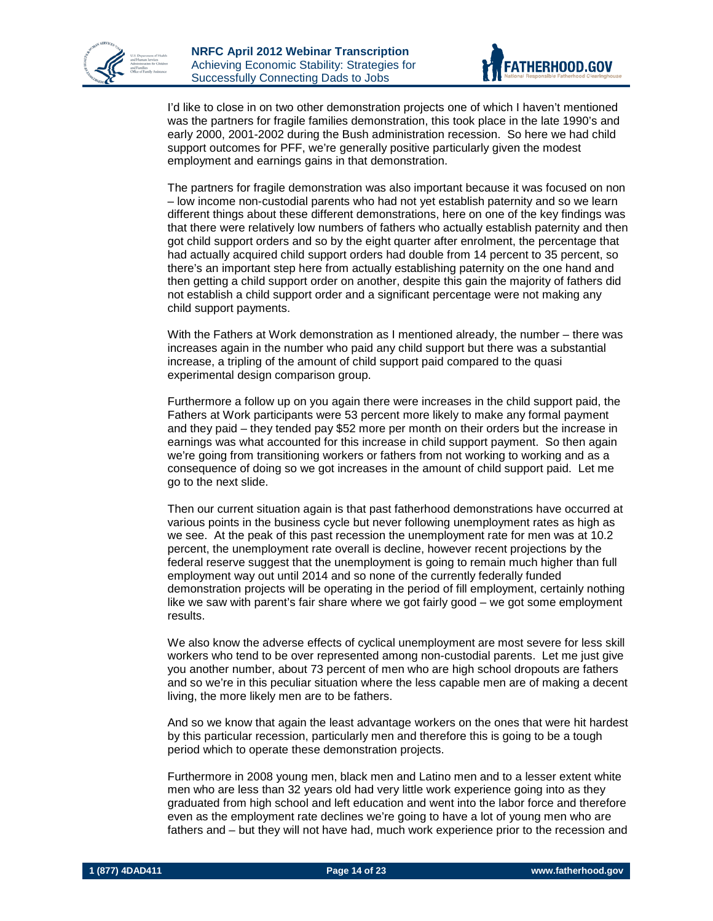



I'd like to close in on two other demonstration projects one of which I haven't mentioned was the partners for fragile families demonstration, this took place in the late 1990's and early 2000, 2001-2002 during the Bush administration recession. So here we had child support outcomes for PFF, we're generally positive particularly given the modest employment and earnings gains in that demonstration.

The partners for fragile demonstration was also important because it was focused on non – low income non-custodial parents who had not yet establish paternity and so we learn different things about these different demonstrations, here on one of the key findings was that there were relatively low numbers of fathers who actually establish paternity and then got child support orders and so by the eight quarter after enrolment, the percentage that had actually acquired child support orders had double from 14 percent to 35 percent, so there's an important step here from actually establishing paternity on the one hand and then getting a child support order on another, despite this gain the majority of fathers did not establish a child support order and a significant percentage were not making any child support payments.

With the Fathers at Work demonstration as I mentioned already, the number – there was increases again in the number who paid any child support but there was a substantial increase, a tripling of the amount of child support paid compared to the quasi experimental design comparison group.

Furthermore a follow up on you again there were increases in the child support paid, the Fathers at Work participants were 53 percent more likely to make any formal payment and they paid – they tended pay \$52 more per month on their orders but the increase in earnings was what accounted for this increase in child support payment. So then again we're going from transitioning workers or fathers from not working to working and as a consequence of doing so we got increases in the amount of child support paid. Let me go to the next slide.

Then our current situation again is that past fatherhood demonstrations have occurred at various points in the business cycle but never following unemployment rates as high as we see. At the peak of this past recession the unemployment rate for men was at 10.2 percent, the unemployment rate overall is decline, however recent projections by the federal reserve suggest that the unemployment is going to remain much higher than full employment way out until 2014 and so none of the currently federally funded demonstration projects will be operating in the period of fill employment, certainly nothing like we saw with parent's fair share where we got fairly good – we got some employment results.

We also know the adverse effects of cyclical unemployment are most severe for less skill workers who tend to be over represented among non-custodial parents. Let me just give you another number, about 73 percent of men who are high school dropouts are fathers and so we're in this peculiar situation where the less capable men are of making a decent living, the more likely men are to be fathers.

And so we know that again the least advantage workers on the ones that were hit hardest by this particular recession, particularly men and therefore this is going to be a tough period which to operate these demonstration projects.

Furthermore in 2008 young men, black men and Latino men and to a lesser extent white men who are less than 32 years old had very little work experience going into as they graduated from high school and left education and went into the labor force and therefore even as the employment rate declines we're going to have a lot of young men who are fathers and – but they will not have had, much work experience prior to the recession and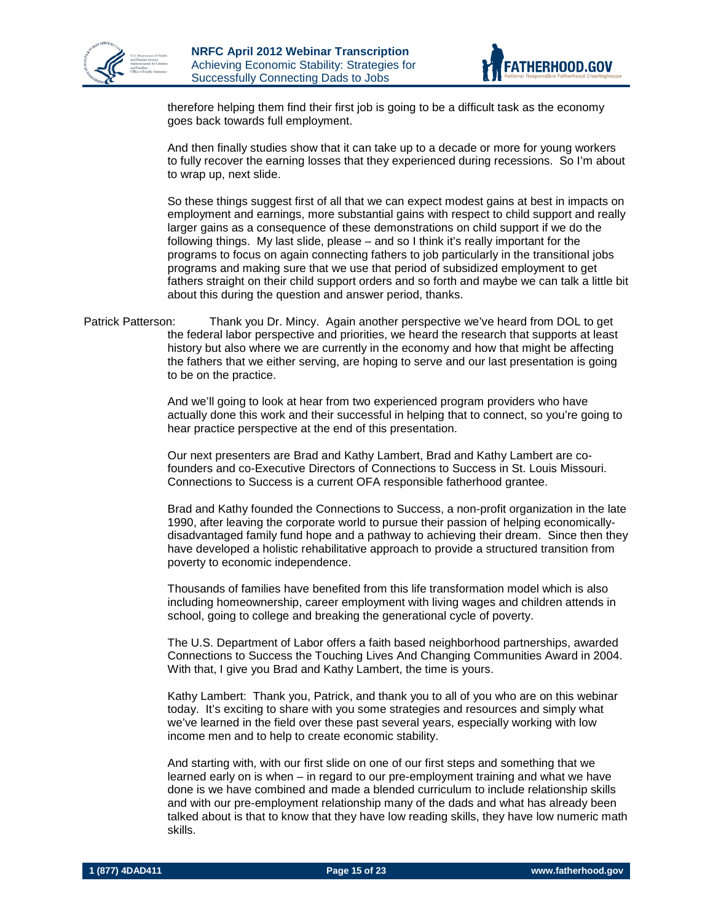



therefore helping them find their first job is going to be a difficult task as the economy goes back towards full employment.

And then finally studies show that it can take up to a decade or more for young workers to fully recover the earning losses that they experienced during recessions. So I'm about to wrap up, next slide.

So these things suggest first of all that we can expect modest gains at best in impacts on employment and earnings, more substantial gains with respect to child support and really larger gains as a consequence of these demonstrations on child support if we do the following things. My last slide, please – and so I think it's really important for the programs to focus on again connecting fathers to job particularly in the transitional jobs programs and making sure that we use that period of subsidized employment to get fathers straight on their child support orders and so forth and maybe we can talk a little bit about this during the question and answer period, thanks.

#### Patrick Patterson: Thank you Dr. Mincy. Again another perspective we've heard from DOL to get the federal labor perspective and priorities, we heard the research that supports at least history but also where we are currently in the economy and how that might be affecting the fathers that we either serving, are hoping to serve and our last presentation is going to be on the practice.

And we'll going to look at hear from two experienced program providers who have actually done this work and their successful in helping that to connect, so you're going to hear practice perspective at the end of this presentation.

Our next presenters are Brad and Kathy Lambert, Brad and Kathy Lambert are cofounders and co-Executive Directors of Connections to Success in St. Louis Missouri. Connections to Success is a current OFA responsible fatherhood grantee.

Brad and Kathy founded the Connections to Success, a non-profit organization in the late 1990, after leaving the corporate world to pursue their passion of helping economicallydisadvantaged family fund hope and a pathway to achieving their dream. Since then they have developed a holistic rehabilitative approach to provide a structured transition from poverty to economic independence.

Thousands of families have benefited from this life transformation model which is also including homeownership, career employment with living wages and children attends in school, going to college and breaking the generational cycle of poverty.

The U.S. Department of Labor offers a faith based neighborhood partnerships, awarded Connections to Success the Touching Lives And Changing Communities Award in 2004. With that, I give you Brad and Kathy Lambert, the time is yours.

Kathy Lambert: Thank you, Patrick, and thank you to all of you who are on this webinar today. It's exciting to share with you some strategies and resources and simply what we've learned in the field over these past several years, especially working with low income men and to help to create economic stability.

And starting with, with our first slide on one of our first steps and something that we learned early on is when – in regard to our pre-employment training and what we have done is we have combined and made a blended curriculum to include relationship skills and with our pre-employment relationship many of the dads and what has already been talked about is that to know that they have low reading skills, they have low numeric math skills.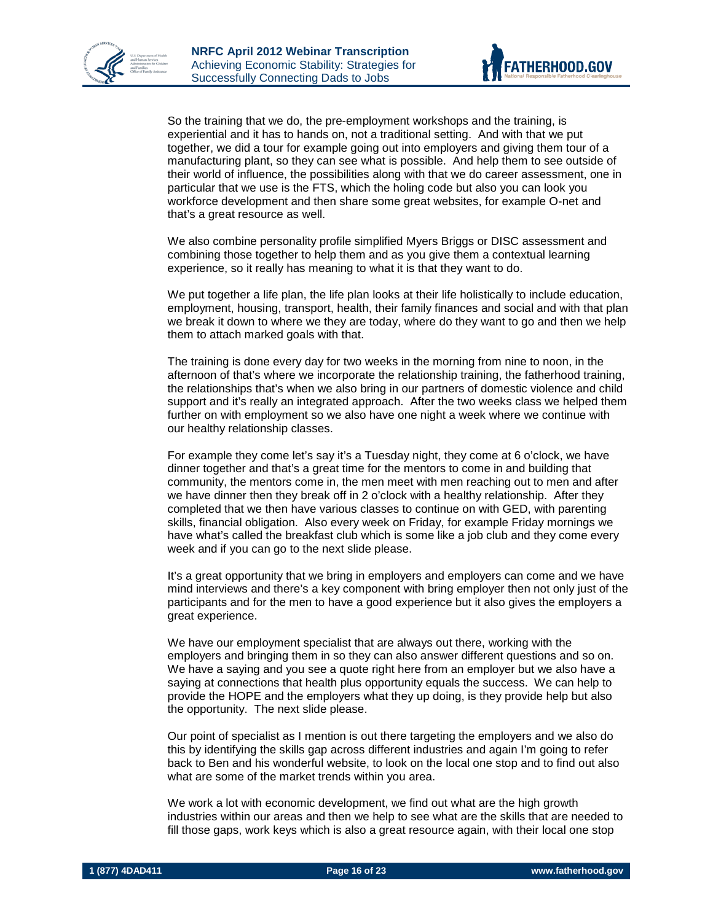



So the training that we do, the pre-employment workshops and the training, is experiential and it has to hands on, not a traditional setting. And with that we put together, we did a tour for example going out into employers and giving them tour of a manufacturing plant, so they can see what is possible. And help them to see outside of their world of influence, the possibilities along with that we do career assessment, one in particular that we use is the FTS, which the holing code but also you can look you workforce development and then share some great websites, for example O-net and that's a great resource as well.

We also combine personality profile simplified Myers Briggs or DISC assessment and combining those together to help them and as you give them a contextual learning experience, so it really has meaning to what it is that they want to do.

We put together a life plan, the life plan looks at their life holistically to include education, employment, housing, transport, health, their family finances and social and with that plan we break it down to where we they are today, where do they want to go and then we help them to attach marked goals with that.

The training is done every day for two weeks in the morning from nine to noon, in the afternoon of that's where we incorporate the relationship training, the fatherhood training, the relationships that's when we also bring in our partners of domestic violence and child support and it's really an integrated approach. After the two weeks class we helped them further on with employment so we also have one night a week where we continue with our healthy relationship classes.

For example they come let's say it's a Tuesday night, they come at 6 o'clock, we have dinner together and that's a great time for the mentors to come in and building that community, the mentors come in, the men meet with men reaching out to men and after we have dinner then they break off in 2 o'clock with a healthy relationship. After they completed that we then have various classes to continue on with GED, with parenting skills, financial obligation. Also every week on Friday, for example Friday mornings we have what's called the breakfast club which is some like a job club and they come every week and if you can go to the next slide please.

It's a great opportunity that we bring in employers and employers can come and we have mind interviews and there's a key component with bring employer then not only just of the participants and for the men to have a good experience but it also gives the employers a great experience.

We have our employment specialist that are always out there, working with the employers and bringing them in so they can also answer different questions and so on. We have a saying and you see a quote right here from an employer but we also have a saying at connections that health plus opportunity equals the success. We can help to provide the HOPE and the employers what they up doing, is they provide help but also the opportunity. The next slide please.

Our point of specialist as I mention is out there targeting the employers and we also do this by identifying the skills gap across different industries and again I'm going to refer back to Ben and his wonderful website, to look on the local one stop and to find out also what are some of the market trends within you area.

We work a lot with economic development, we find out what are the high growth industries within our areas and then we help to see what are the skills that are needed to fill those gaps, work keys which is also a great resource again, with their local one stop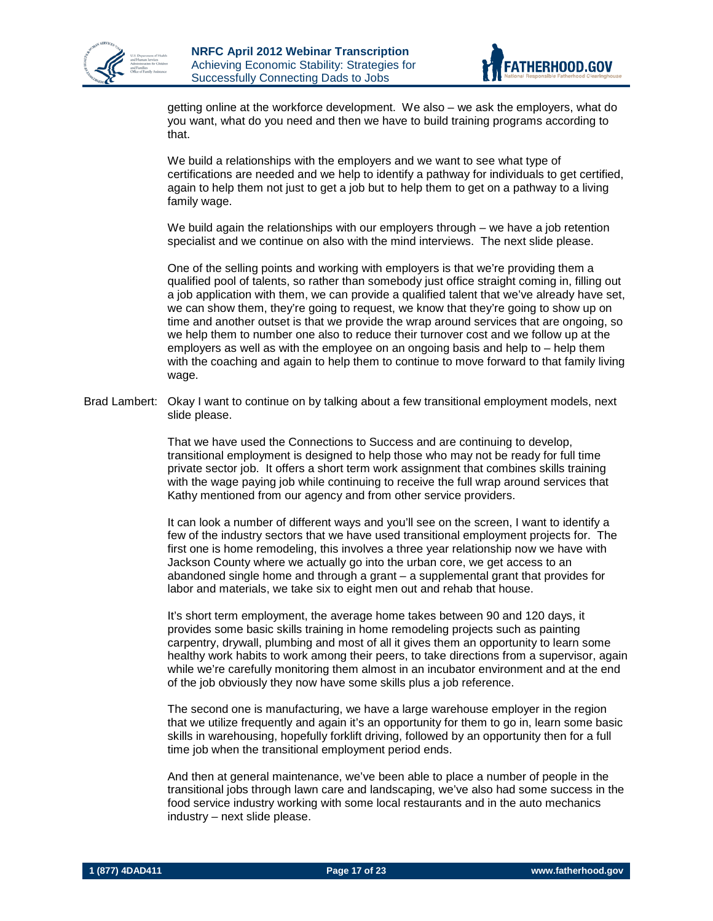



getting online at the workforce development. We also – we ask the employers, what do you want, what do you need and then we have to build training programs according to that.

We build a relationships with the employers and we want to see what type of certifications are needed and we help to identify a pathway for individuals to get certified, again to help them not just to get a job but to help them to get on a pathway to a living family wage.

We build again the relationships with our employers through – we have a job retention specialist and we continue on also with the mind interviews. The next slide please.

One of the selling points and working with employers is that we're providing them a qualified pool of talents, so rather than somebody just office straight coming in, filling out a job application with them, we can provide a qualified talent that we've already have set, we can show them, they're going to request, we know that they're going to show up on time and another outset is that we provide the wrap around services that are ongoing, so we help them to number one also to reduce their turnover cost and we follow up at the employers as well as with the employee on an ongoing basis and help to – help them with the coaching and again to help them to continue to move forward to that family living wage.

Brad Lambert: Okay I want to continue on by talking about a few transitional employment models, next slide please.

> That we have used the Connections to Success and are continuing to develop, transitional employment is designed to help those who may not be ready for full time private sector job. It offers a short term work assignment that combines skills training with the wage paying job while continuing to receive the full wrap around services that Kathy mentioned from our agency and from other service providers.

It can look a number of different ways and you'll see on the screen, I want to identify a few of the industry sectors that we have used transitional employment projects for. The first one is home remodeling, this involves a three year relationship now we have with Jackson County where we actually go into the urban core, we get access to an abandoned single home and through a grant – a supplemental grant that provides for labor and materials, we take six to eight men out and rehab that house.

It's short term employment, the average home takes between 90 and 120 days, it provides some basic skills training in home remodeling projects such as painting carpentry, drywall, plumbing and most of all it gives them an opportunity to learn some healthy work habits to work among their peers, to take directions from a supervisor, again while we're carefully monitoring them almost in an incubator environment and at the end of the job obviously they now have some skills plus a job reference.

The second one is manufacturing, we have a large warehouse employer in the region that we utilize frequently and again it's an opportunity for them to go in, learn some basic skills in warehousing, hopefully forklift driving, followed by an opportunity then for a full time job when the transitional employment period ends.

And then at general maintenance, we've been able to place a number of people in the transitional jobs through lawn care and landscaping, we've also had some success in the food service industry working with some local restaurants and in the auto mechanics industry – next slide please.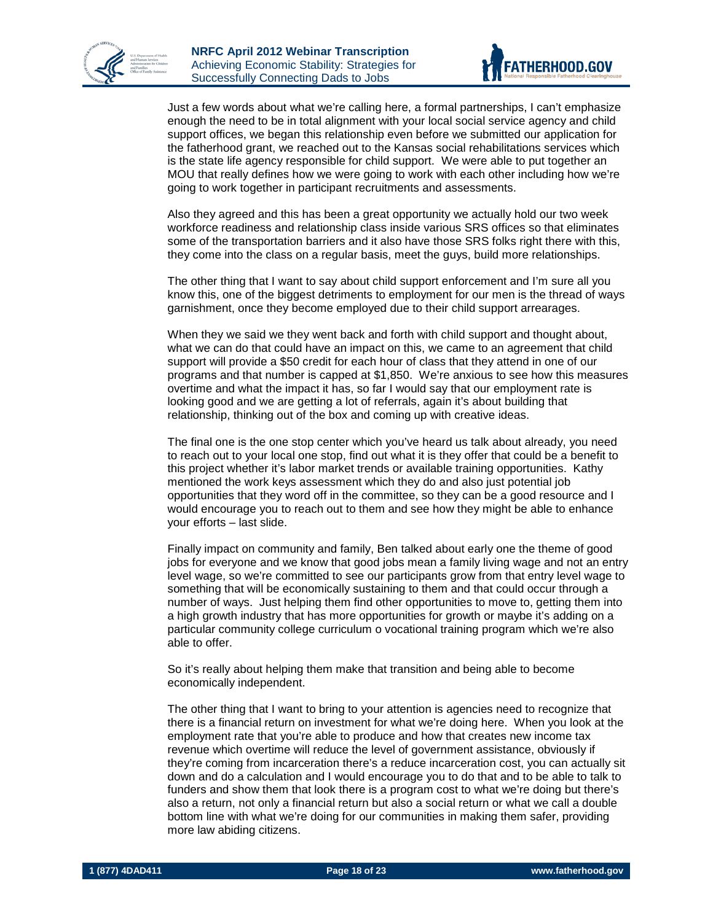



Just a few words about what we're calling here, a formal partnerships, I can't emphasize enough the need to be in total alignment with your local social service agency and child support offices, we began this relationship even before we submitted our application for the fatherhood grant, we reached out to the Kansas social rehabilitations services which is the state life agency responsible for child support. We were able to put together an MOU that really defines how we were going to work with each other including how we're going to work together in participant recruitments and assessments.

Also they agreed and this has been a great opportunity we actually hold our two week workforce readiness and relationship class inside various SRS offices so that eliminates some of the transportation barriers and it also have those SRS folks right there with this, they come into the class on a regular basis, meet the guys, build more relationships.

The other thing that I want to say about child support enforcement and I'm sure all you know this, one of the biggest detriments to employment for our men is the thread of ways garnishment, once they become employed due to their child support arrearages.

When they we said we they went back and forth with child support and thought about, what we can do that could have an impact on this, we came to an agreement that child support will provide a \$50 credit for each hour of class that they attend in one of our programs and that number is capped at \$1,850. We're anxious to see how this measures overtime and what the impact it has, so far I would say that our employment rate is looking good and we are getting a lot of referrals, again it's about building that relationship, thinking out of the box and coming up with creative ideas.

The final one is the one stop center which you've heard us talk about already, you need to reach out to your local one stop, find out what it is they offer that could be a benefit to this project whether it's labor market trends or available training opportunities. Kathy mentioned the work keys assessment which they do and also just potential job opportunities that they word off in the committee, so they can be a good resource and I would encourage you to reach out to them and see how they might be able to enhance your efforts – last slide.

Finally impact on community and family, Ben talked about early one the theme of good jobs for everyone and we know that good jobs mean a family living wage and not an entry level wage, so we're committed to see our participants grow from that entry level wage to something that will be economically sustaining to them and that could occur through a number of ways. Just helping them find other opportunities to move to, getting them into a high growth industry that has more opportunities for growth or maybe it's adding on a particular community college curriculum o vocational training program which we're also able to offer.

So it's really about helping them make that transition and being able to become economically independent.

The other thing that I want to bring to your attention is agencies need to recognize that there is a financial return on investment for what we're doing here. When you look at the employment rate that you're able to produce and how that creates new income tax revenue which overtime will reduce the level of government assistance, obviously if they're coming from incarceration there's a reduce incarceration cost, you can actually sit down and do a calculation and I would encourage you to do that and to be able to talk to funders and show them that look there is a program cost to what we're doing but there's also a return, not only a financial return but also a social return or what we call a double bottom line with what we're doing for our communities in making them safer, providing more law abiding citizens.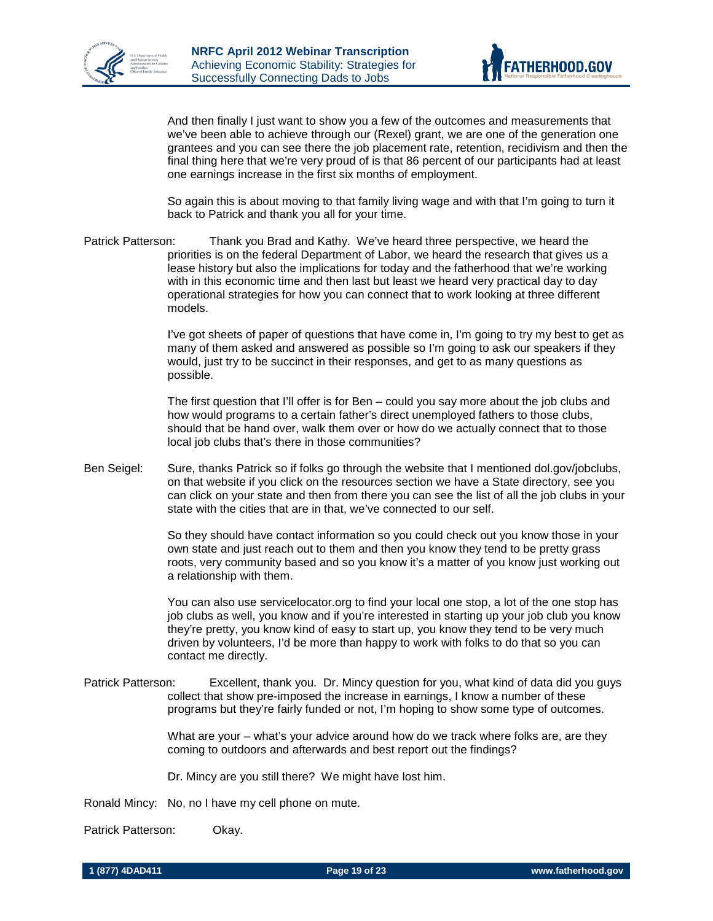



And then finally I just want to show you a few of the outcomes and measurements that we've been able to achieve through our (Rexel) grant, we are one of the generation one grantees and you can see there the job placement rate, retention, recidivism and then the final thing here that we're very proud of is that 86 percent of our participants had at least one earnings increase in the first six months of employment.

So again this is about moving to that family living wage and with that I'm going to turn it back to Patrick and thank you all for your time.

Patrick Patterson: Thank you Brad and Kathy. We've heard three perspective, we heard the priorities is on the federal Department of Labor, we heard the research that gives us a lease history but also the implications for today and the fatherhood that we're working with in this economic time and then last but least we heard very practical day to day operational strategies for how you can connect that to work looking at three different models.

> I've got sheets of paper of questions that have come in, I'm going to try my best to get as many of them asked and answered as possible so I'm going to ask our speakers if they would, just try to be succinct in their responses, and get to as many questions as possible.

The first question that I'll offer is for Ben – could you say more about the job clubs and how would programs to a certain father's direct unemployed fathers to those clubs, should that be hand over, walk them over or how do we actually connect that to those local job clubs that's there in those communities?

Ben Seigel: Sure, thanks Patrick so if folks go through the website that I mentioned dol.gov/jobclubs, on that website if you click on the resources section we have a State directory, see you can click on your state and then from there you can see the list of all the job clubs in your state with the cities that are in that, we've connected to our self.

> So they should have contact information so you could check out you know those in your own state and just reach out to them and then you know they tend to be pretty grass roots, very community based and so you know it's a matter of you know just working out a relationship with them.

> You can also use servicelocator.org to find your local one stop, a lot of the one stop has job clubs as well, you know and if you're interested in starting up your job club you know they're pretty, you know kind of easy to start up, you know they tend to be very much driven by volunteers, I'd be more than happy to work with folks to do that so you can contact me directly.

Patrick Patterson: Excellent, thank you. Dr. Mincy question for you, what kind of data did you guys collect that show pre-imposed the increase in earnings, I know a number of these programs but they're fairly funded or not, I'm hoping to show some type of outcomes.

> What are your – what's your advice around how do we track where folks are, are they coming to outdoors and afterwards and best report out the findings?

Dr. Mincy are you still there? We might have lost him.

Ronald Mincy: No, no I have my cell phone on mute.

Patrick Patterson: Okay.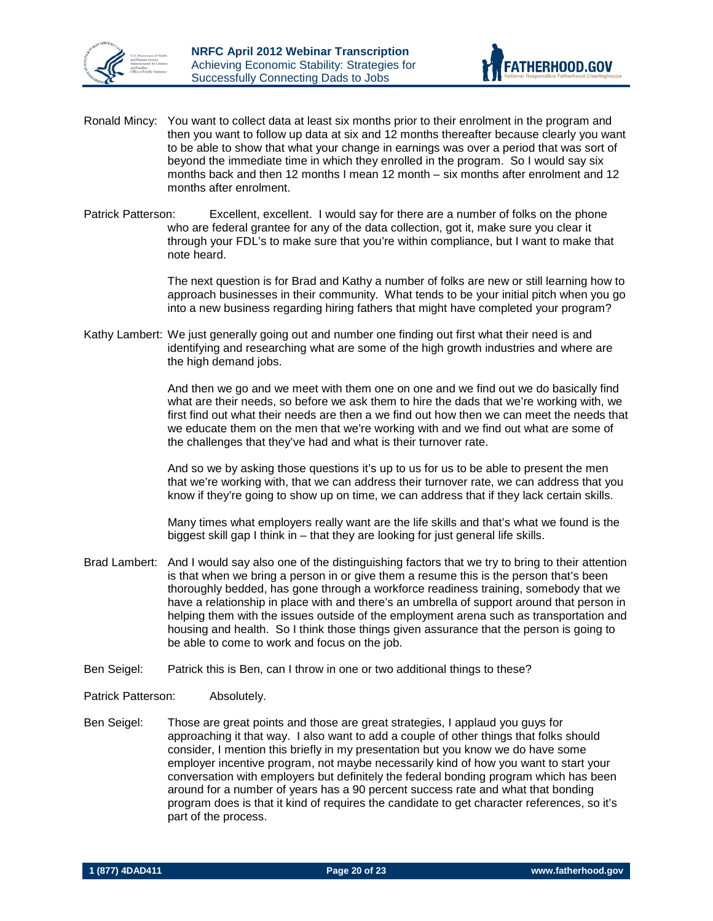



- Ronald Mincy: You want to collect data at least six months prior to their enrolment in the program and then you want to follow up data at six and 12 months thereafter because clearly you want to be able to show that what your change in earnings was over a period that was sort of beyond the immediate time in which they enrolled in the program. So I would say six months back and then 12 months I mean 12 month – six months after enrolment and 12 months after enrolment.
- Patrick Patterson: Excellent, excellent. I would say for there are a number of folks on the phone who are federal grantee for any of the data collection, got it, make sure you clear it through your FDL's to make sure that you're within compliance, but I want to make that note heard.

The next question is for Brad and Kathy a number of folks are new or still learning how to approach businesses in their community. What tends to be your initial pitch when you go into a new business regarding hiring fathers that might have completed your program?

Kathy Lambert: We just generally going out and number one finding out first what their need is and identifying and researching what are some of the high growth industries and where are the high demand jobs.

> And then we go and we meet with them one on one and we find out we do basically find what are their needs, so before we ask them to hire the dads that we're working with, we first find out what their needs are then a we find out how then we can meet the needs that we educate them on the men that we're working with and we find out what are some of the challenges that they've had and what is their turnover rate.

And so we by asking those questions it's up to us for us to be able to present the men that we're working with, that we can address their turnover rate, we can address that you know if they're going to show up on time, we can address that if they lack certain skills.

Many times what employers really want are the life skills and that's what we found is the biggest skill gap I think in – that they are looking for just general life skills.

- Brad Lambert: And I would say also one of the distinguishing factors that we try to bring to their attention is that when we bring a person in or give them a resume this is the person that's been thoroughly bedded, has gone through a workforce readiness training, somebody that we have a relationship in place with and there's an umbrella of support around that person in helping them with the issues outside of the employment arena such as transportation and housing and health. So I think those things given assurance that the person is going to be able to come to work and focus on the job.
- Ben Seigel: Patrick this is Ben, can I throw in one or two additional things to these?
- Patrick Patterson: Absolutely.
- Ben Seigel: Those are great points and those are great strategies, I applaud you guys for approaching it that way. I also want to add a couple of other things that folks should consider, I mention this briefly in my presentation but you know we do have some employer incentive program, not maybe necessarily kind of how you want to start your conversation with employers but definitely the federal bonding program which has been around for a number of years has a 90 percent success rate and what that bonding program does is that it kind of requires the candidate to get character references, so it's part of the process.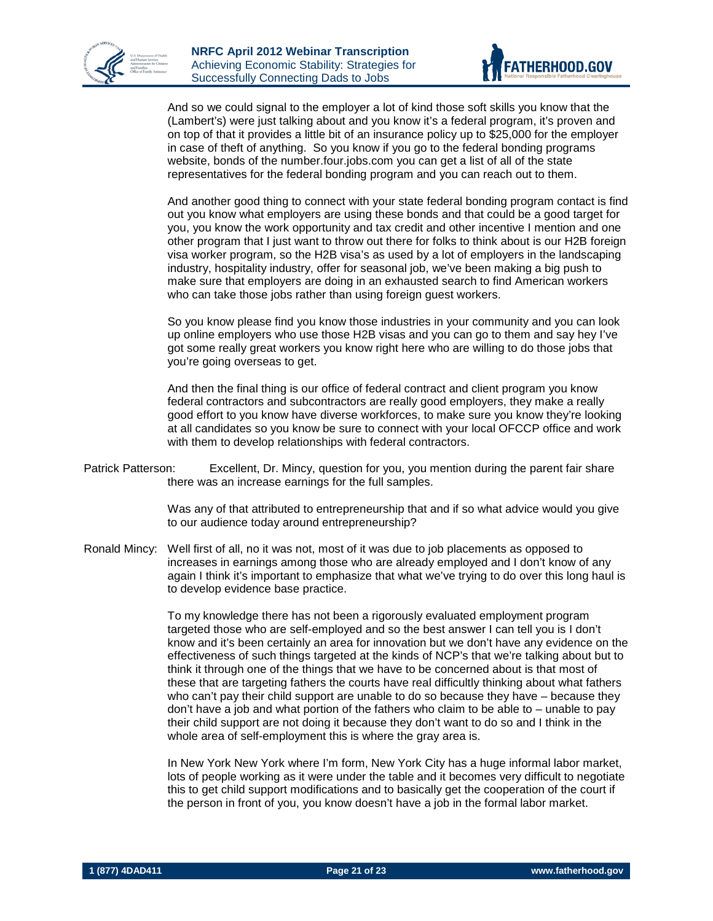



And so we could signal to the employer a lot of kind those soft skills you know that the (Lambert's) were just talking about and you know it's a federal program, it's proven and on top of that it provides a little bit of an insurance policy up to \$25,000 for the employer in case of theft of anything. So you know if you go to the federal bonding programs website, bonds of the number.four.jobs.com you can get a list of all of the state representatives for the federal bonding program and you can reach out to them.

And another good thing to connect with your state federal bonding program contact is find out you know what employers are using these bonds and that could be a good target for you, you know the work opportunity and tax credit and other incentive I mention and one other program that I just want to throw out there for folks to think about is our H2B foreign visa worker program, so the H2B visa's as used by a lot of employers in the landscaping industry, hospitality industry, offer for seasonal job, we've been making a big push to make sure that employers are doing in an exhausted search to find American workers who can take those jobs rather than using foreign guest workers.

So you know please find you know those industries in your community and you can look up online employers who use those H2B visas and you can go to them and say hey I've got some really great workers you know right here who are willing to do those jobs that you're going overseas to get.

And then the final thing is our office of federal contract and client program you know federal contractors and subcontractors are really good employers, they make a really good effort to you know have diverse workforces, to make sure you know they're looking at all candidates so you know be sure to connect with your local OFCCP office and work with them to develop relationships with federal contractors.

Patrick Patterson: Excellent, Dr. Mincy, question for you, you mention during the parent fair share there was an increase earnings for the full samples.

> Was any of that attributed to entrepreneurship that and if so what advice would you give to our audience today around entrepreneurship?

Ronald Mincy: Well first of all, no it was not, most of it was due to job placements as opposed to increases in earnings among those who are already employed and I don't know of any again I think it's important to emphasize that what we've trying to do over this long haul is to develop evidence base practice.

> To my knowledge there has not been a rigorously evaluated employment program targeted those who are self-employed and so the best answer I can tell you is I don't know and it's been certainly an area for innovation but we don't have any evidence on the effectiveness of such things targeted at the kinds of NCP's that we're talking about but to think it through one of the things that we have to be concerned about is that most of these that are targeting fathers the courts have real difficultly thinking about what fathers who can't pay their child support are unable to do so because they have – because they don't have a job and what portion of the fathers who claim to be able to  $-$  unable to pay their child support are not doing it because they don't want to do so and I think in the whole area of self-employment this is where the gray area is.

> In New York New York where I'm form, New York City has a huge informal labor market, lots of people working as it were under the table and it becomes very difficult to negotiate this to get child support modifications and to basically get the cooperation of the court if the person in front of you, you know doesn't have a job in the formal labor market.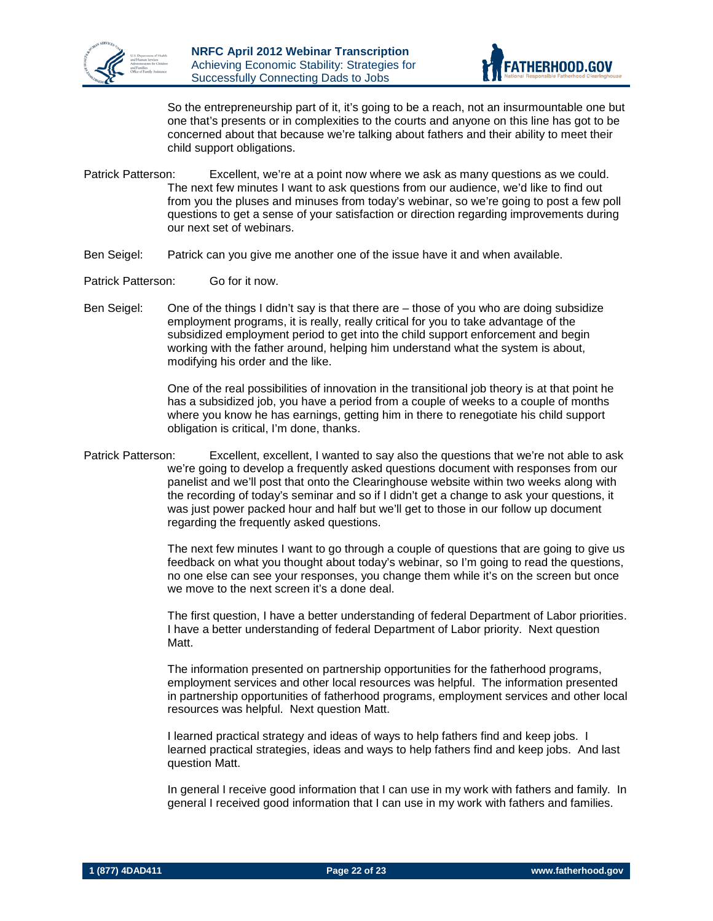



So the entrepreneurship part of it, it's going to be a reach, not an insurmountable one but one that's presents or in complexities to the courts and anyone on this line has got to be concerned about that because we're talking about fathers and their ability to meet their child support obligations.

- Patrick Patterson: Excellent, we're at a point now where we ask as many questions as we could. The next few minutes I want to ask questions from our audience, we'd like to find out from you the pluses and minuses from today's webinar, so we're going to post a few poll questions to get a sense of your satisfaction or direction regarding improvements during our next set of webinars.
- Ben Seigel: Patrick can you give me another one of the issue have it and when available.
- Patrick Patterson: Go for it now.
- Ben Seigel: One of the things I didn't say is that there are those of you who are doing subsidize employment programs, it is really, really critical for you to take advantage of the subsidized employment period to get into the child support enforcement and begin working with the father around, helping him understand what the system is about, modifying his order and the like.

One of the real possibilities of innovation in the transitional job theory is at that point he has a subsidized job, you have a period from a couple of weeks to a couple of months where you know he has earnings, getting him in there to renegotiate his child support obligation is critical, I'm done, thanks.

Patrick Patterson: Excellent, excellent, I wanted to say also the questions that we're not able to ask we're going to develop a frequently asked questions document with responses from our panelist and we'll post that onto the Clearinghouse website within two weeks along with the recording of today's seminar and so if I didn't get a change to ask your questions, it was just power packed hour and half but we'll get to those in our follow up document regarding the frequently asked questions.

> The next few minutes I want to go through a couple of questions that are going to give us feedback on what you thought about today's webinar, so I'm going to read the questions, no one else can see your responses, you change them while it's on the screen but once we move to the next screen it's a done deal.

> The first question, I have a better understanding of federal Department of Labor priorities. I have a better understanding of federal Department of Labor priority. Next question Matt.

> The information presented on partnership opportunities for the fatherhood programs, employment services and other local resources was helpful. The information presented in partnership opportunities of fatherhood programs, employment services and other local resources was helpful. Next question Matt.

I learned practical strategy and ideas of ways to help fathers find and keep jobs. I learned practical strategies, ideas and ways to help fathers find and keep jobs. And last question Matt.

In general I receive good information that I can use in my work with fathers and family. In general I received good information that I can use in my work with fathers and families.